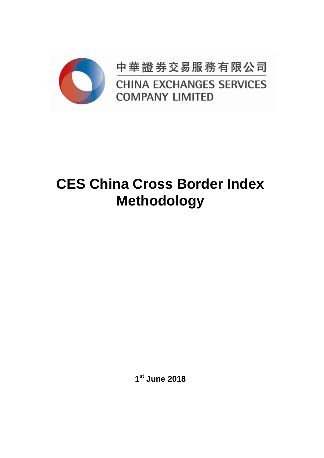

中華證券交易服務有限公司 **CHINA EXCHANGES SERVICES COMPANY LIMITED** 

# **CES China Cross Border Index Methodology**

**1 st June 2018**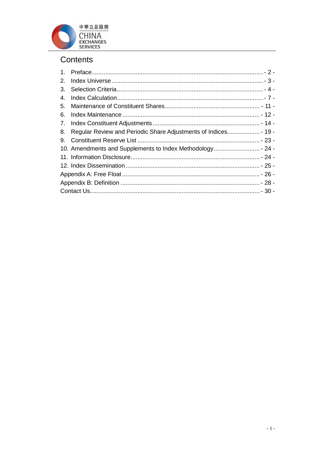

## Contents

| 2. |                                                            |  |  |  |  |  |
|----|------------------------------------------------------------|--|--|--|--|--|
| 3. |                                                            |  |  |  |  |  |
| 4. |                                                            |  |  |  |  |  |
| 5. |                                                            |  |  |  |  |  |
| 6. |                                                            |  |  |  |  |  |
|    |                                                            |  |  |  |  |  |
| 8. |                                                            |  |  |  |  |  |
| 9. |                                                            |  |  |  |  |  |
|    | 10. Amendments and Supplements to Index Methodology - 24 - |  |  |  |  |  |
|    |                                                            |  |  |  |  |  |
|    |                                                            |  |  |  |  |  |
|    |                                                            |  |  |  |  |  |
|    |                                                            |  |  |  |  |  |
|    |                                                            |  |  |  |  |  |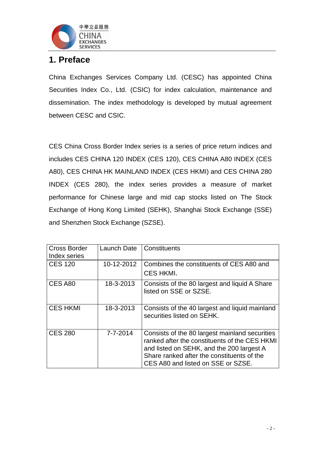

## <span id="page-2-0"></span>**1. Preface**

China Exchanges Services Company Ltd. (CESC) has appointed China Securities Index Co., Ltd. (CSIC) for index calculation, maintenance and dissemination. The index methodology is developed by mutual agreement between CESC and CSIC.

CES China Cross Border Index series is a series of price return indices and includes CES CHINA 120 INDEX (CES 120), CES CHINA A80 INDEX (CES A80), CES CHINA HK MAINLAND INDEX (CES HKMI) and CES CHINA 280 INDEX (CES 280), the index series provides a measure of market performance for Chinese large and mid cap stocks listed on The Stock Exchange of Hong Kong Limited (SEHK), Shanghai Stock Exchange (SSE) and Shenzhen Stock Exchange (SZSE).

| <b>Cross Border</b> | Launch Date | Constituents                                                                                                                                                                                                                     |
|---------------------|-------------|----------------------------------------------------------------------------------------------------------------------------------------------------------------------------------------------------------------------------------|
| Index series        |             |                                                                                                                                                                                                                                  |
| <b>CES 120</b>      | 10-12-2012  | Combines the constituents of CES A80 and                                                                                                                                                                                         |
|                     |             | CES HKMI.                                                                                                                                                                                                                        |
| CES A80             | 18-3-2013   | Consists of the 80 largest and liquid A Share<br>listed on SSE or SZSE.                                                                                                                                                          |
| <b>CES HKMI</b>     | 18-3-2013   | Consists of the 40 largest and liquid mainland<br>securities listed on SEHK.                                                                                                                                                     |
| <b>CES 280</b>      | 7-7-2014    | Consists of the 80 largest mainland securities<br>ranked after the constituents of the CES HKMI<br>and listed on SEHK, and the 200 largest A<br>Share ranked after the constituents of the<br>CES A80 and listed on SSE or SZSE. |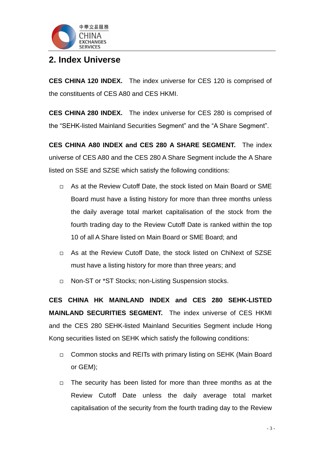

## <span id="page-3-0"></span>**2. Index Universe**

**CES CHINA 120 INDEX.** The index universe for CES 120 is comprised of the constituents of CES A80 and CES HKMI.

**CES CHINA 280 INDEX.** The index universe for CES 280 is comprised of the "SEHK-listed Mainland Securities Segment" and the "A Share Segment".

**CES CHINA A80 INDEX and CES 280 A SHARE SEGMENT.** The index universe of CES A80 and the CES 280 A Share Segment include the A Share listed on SSE and SZSE which satisfy the following conditions:

- □ As at the Review Cutoff Date, the stock listed on Main Board or SME Board must have a listing history for more than three months unless the daily average total market capitalisation of the stock from the fourth trading day to the Review Cutoff Date is ranked within the top 10 of all A Share listed on Main Board or SME Board; and
- As at the Review Cutoff Date, the stock listed on ChiNext of SZSE must have a listing history for more than three years; and
- □ Non-ST or \*ST Stocks; non-Listing Suspension stocks.

**CES CHINA HK MAINLAND INDEX and CES 280 SEHK-LISTED MAINLAND SECURITIES SEGMENT.** The index universe of CES HKMI and the CES 280 SEHK-listed Mainland Securities Segment include Hong Kong securities listed on SEHK which satisfy the following conditions:

- □ Common stocks and REITs with primary listing on SEHK (Main Board or GEM);
- $\Box$  The security has been listed for more than three months as at the Review Cutoff Date unless the daily average total market capitalisation of the security from the fourth trading day to the Review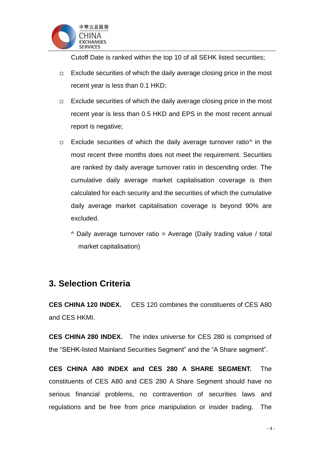

Cutoff Date is ranked within the top 10 of all SEHK listed securities;

- $\Box$  Exclude securities of which the daily average closing price in the most recent year is less than 0.1 HKD;
- $\Box$  Exclude securities of which the daily average closing price in the most recent year is less than 0.5 HKD and EPS in the most recent annual report is negative;
- $\Box$  Exclude securities of which the daily average turnover ratio<sup> $\land$ </sup> in the most recent three months does not meet the requirement. Securities are ranked by daily average turnover ratio in descending order. The cumulative daily average market capitalisation coverage is then calculated for each security and the securities of which the cumulative daily average market capitalisation coverage is beyond 90% are excluded.
	- $\land$  Daily average turnover ratio = Average (Daily trading value / total market capitalisation)

## <span id="page-4-0"></span>**3. Selection Criteria**

**CES CHINA 120 INDEX.** CES 120 combines the constituents of CES A80 and CES HKMI.

**CES CHINA 280 INDEX.** The index universe for CES 280 is comprised of the "SEHK-listed Mainland Securities Segment" and the "A Share segment".

**CES CHINA A80 INDEX and CES 280 A SHARE SEGMENT.** The constituents of CES A80 and CES 280 A Share Segment should have no serious financial problems, no contravention of securities laws and regulations and be free from price manipulation or insider trading. The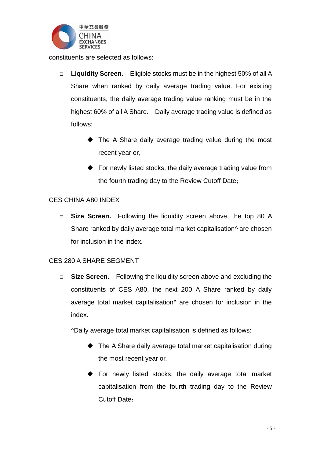

constituents are selected as follows:

- **Liquidity Screen.** Eligible stocks must be in the highest 50% of all A Share when ranked by daily average trading value. For existing constituents, the daily average trading value ranking must be in the highest 60% of all A Share. Daily average trading value is defined as follows:
	- ◆ The A Share daily average trading value during the most recent year or,
	- $\blacklozenge$  For newly listed stocks, the daily average trading value from the fourth trading day to the Review Cutoff Date;

#### CES CHINA A80 INDEX

□ **Size Screen.** Following the liquidity screen above, the top 80 A Share ranked by daily average total market capitalisation<sup>^</sup> are chosen for inclusion in the index.

#### CES 280 A SHARE SEGMENT

 **Size Screen.** Following the liquidity screen above and excluding the constituents of CES A80, the next 200 A Share ranked by daily average total market capitalisation<sup>^</sup> are chosen for inclusion in the index.

^Daily average total market capitalisation is defined as follows:

- ◆ The A Share daily average total market capitalisation during the most recent year or,
- For newly listed stocks, the daily average total market capitalisation from the fourth trading day to the Review Cutoff Date;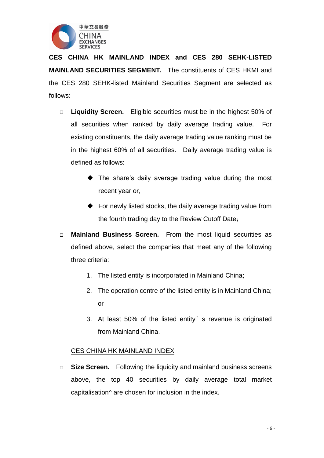

**CES CHINA HK MAINLAND INDEX and CES 280 SEHK-LISTED MAINLAND SECURITIES SEGMENT.** The constituents of CES HKMI and the CES 280 SEHK-listed Mainland Securities Segment are selected as follows:

- **Liquidity Screen.** Eligible securities must be in the highest 50% of all securities when ranked by daily average trading value. For existing constituents, the daily average trading value ranking must be in the highest 60% of all securities. Daily average trading value is defined as follows:
	- ◆ The share's daily average trading value during the most recent year or,
	- ◆ For newly listed stocks, the daily average trading value from the fourth trading day to the Review Cutoff Date;
- **Mainland Business Screen.** From the most liquid securities as defined above, select the companies that meet any of the following three criteria:
	- 1. The listed entity is incorporated in Mainland China;
	- 2. The operation centre of the listed entity is in Mainland China; or
	- 3. At least 50% of the listed entity's revenue is originated from Mainland China.

#### CES CHINA HK MAINLAND INDEX

□ Size Screen. Following the liquidity and mainland business screens above, the top 40 securities by daily average total market capitalisation^ are chosen for inclusion in the index.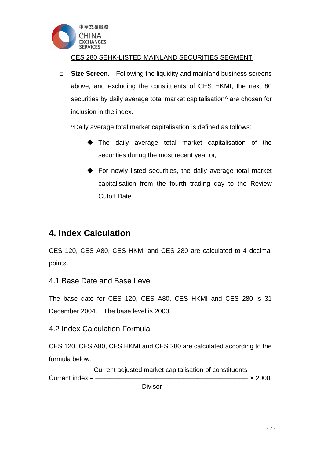

CES 280 SEHK-LISTED MAINLAND SECURITIES SEGMENT

□ **Size Screen.** Following the liquidity and mainland business screens above, and excluding the constituents of CES HKMI, the next 80 securities by daily average total market capitalisation<sup>^</sup> are chosen for inclusion in the index.

^Daily average total market capitalisation is defined as follows:

- The daily average total market capitalisation of the securities during the most recent year or,
- For newly listed securities, the daily average total market capitalisation from the fourth trading day to the Review Cutoff Date.

## <span id="page-7-0"></span>**4. Index Calculation**

CES 120, CES A80, CES HKMI and CES 280 are calculated to 4 decimal points.

4.1 Base Date and Base Level

The base date for CES 120, CES A80, CES HKMI and CES 280 is 31 December 2004. The base level is 2000.

4.2 Index Calculation Formula

CES 120, CES A80, CES HKMI and CES 280 are calculated according to the formula below:

 Current adjusted market capitalisation of constituents Current index =  $\frac{2000}{2000}$ **Divisor**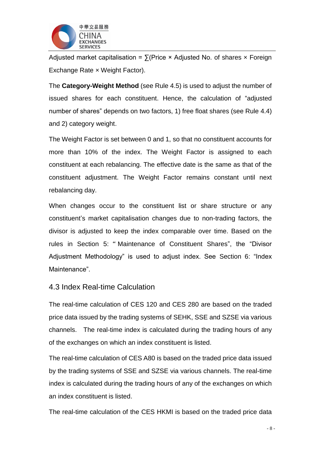

Adjusted market capitalisation =  $\Sigma$ (Price × Adjusted No. of shares x Foreign Exchange Rate × Weight Factor).

The **Category-Weight Method** (see Rule 4.5) is used to adjust the number of issued shares for each constituent. Hence, the calculation of "adjusted number of shares" depends on two factors, 1) free float shares (see Rule 4.4) and 2) category weight.

The Weight Factor is set between 0 and 1, so that no constituent accounts for more than 10% of the index. The Weight Factor is assigned to each constituent at each rebalancing. The effective date is the same as that of the constituent adjustment. The Weight Factor remains constant until next rebalancing day.

When changes occur to the constituent list or share structure or any constituent's market capitalisation changes due to non-trading factors, the divisor is adjusted to keep the index comparable over time. Based on the rules in Section 5: " Maintenance of Constituent Shares", the "Divisor Adjustment Methodology" is used to adjust index. See Section 6: "Index Maintenance".

#### 4.3 Index Real-time Calculation

The real-time calculation of CES 120 and CES 280 are based on the traded price data issued by the trading systems of SEHK, SSE and SZSE via various channels. The real-time index is calculated during the trading hours of any of the exchanges on which an index constituent is listed.

The real-time calculation of CES A80 is based on the traded price data issued by the trading systems of SSE and SZSE via various channels. The real-time index is calculated during the trading hours of any of the exchanges on which an index constituent is listed.

The real-time calculation of the CES HKMI is based on the traded price data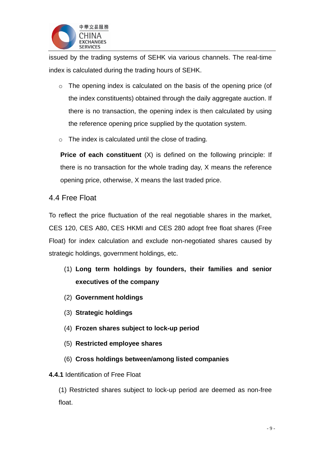

issued by the trading systems of SEHK via various channels. The real-time index is calculated during the trading hours of SEHK.

- o The opening index is calculated on the basis of the opening price (of the index constituents) obtained through the daily aggregate auction. If there is no transaction, the opening index is then calculated by using the reference opening price supplied by the quotation system.
- $\circ$  The index is calculated until the close of trading.

**Price of each constituent** (X) is defined on the following principle: If there is no transaction for the whole trading day, X means the reference opening price, otherwise, X means the last traded price.

#### 4.4 Free Float

To reflect the price fluctuation of the real negotiable shares in the market, CES 120, CES A80, CES HKMI and CES 280 adopt free float shares (Free Float) for index calculation and exclude non-negotiated shares caused by strategic holdings, government holdings, etc.

- (1) **Long term holdings by founders, their families and senior executives of the company**
- (2) **Government holdings**
- (3) **Strategic holdings**
- (4) **Frozen shares subject to lock-up period**
- (5) **Restricted employee shares**
- (6) **Cross holdings between/among listed companies**

#### **4.4.1** Identification of Free Float

(1) Restricted shares subject to lock-up period are deemed as non-free float.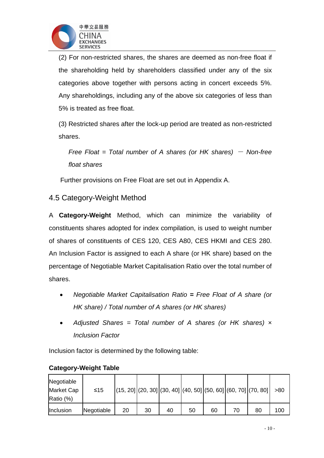

(2) For non-restricted shares, the shares are deemed as non-free float if the shareholding held by shareholders classified under any of the six categories above together with persons acting in concert exceeds 5%. Any shareholdings, including any of the above six categories of less than 5% is treated as free float.

(3) Restricted shares after the lock-up period are treated as non-restricted shares.

*Free Float = Total number of A shares (or HK shares) – Non-free float shares*

Further provisions on Free Float are set out in Appendix A.

#### 4.5 Category-Weight Method

A **Category-Weight** Method, which can minimize the variability of constituents shares adopted for index compilation, is used to weight number of shares of constituents of CES 120, CES A80, CES HKMI and CES 280. An Inclusion Factor is assigned to each A share (or HK share) based on the percentage of Negotiable Market Capitalisation Ratio over the total number of shares.

- *Negotiable Market Capitalisation Ratio = Free Float of A share (or HK share) / Total number of A shares (or HK shares)*
- *Adjusted Shares = Total number of A shares (or HK shares) × Inclusion Factor*

Inclusion factor is determined by the following table:

| Negotiable<br>Market Cap<br>Ratio (%) | ≤15        |    |    |    |    |    |    | $(15, 20]$ $(20, 30]$ $(30, 40]$ $(40, 50]$ $(50, 60]$ $(60, 70]$ $(70, 80]$ | >80 |
|---------------------------------------|------------|----|----|----|----|----|----|------------------------------------------------------------------------------|-----|
| Inclusion                             | Negotiable | 20 | 30 | 40 | 50 | 60 | 70 | 80                                                                           | 100 |

#### **Category-Weight Table**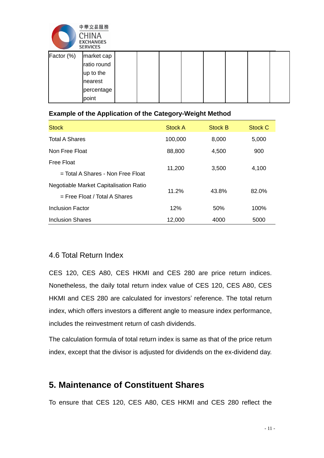

|            | <b>SERVILES</b> |  |  |  |  |
|------------|-----------------|--|--|--|--|
| Factor (%) | market cap      |  |  |  |  |
|            | ratio round     |  |  |  |  |
|            | up to the       |  |  |  |  |
|            | nearest         |  |  |  |  |
|            | percentage      |  |  |  |  |
|            | point           |  |  |  |  |

#### **Example of the Application of the Category-Weight Method**

| <b>Stock</b>                                                              | <b>Stock A</b> | <b>Stock B</b> | Stock C |
|---------------------------------------------------------------------------|----------------|----------------|---------|
| <b>Total A Shares</b>                                                     | 100,000        | 8,000          | 5,000   |
| Non Free Float                                                            | 88,800         | 4,500          | 900     |
| Free Float<br>$=$ Total A Shares - Non Free Float                         | 11,200         | 3,500          | 4,100   |
| Negotiable Market Capitalisation Ratio<br>$=$ Free Float / Total A Shares | 11.2%          | 43.8%          | 82.0%   |
| Inclusion Factor                                                          | 12%            | 50%            | 100%    |
| Inclusion Shares                                                          | 12,000         | 4000           | 5000    |

#### 4.6 Total Return Index

CES 120, CES A80, CES HKMI and CES 280 are price return indices. Nonetheless, the daily total return index value of CES 120, CES A80, CES HKMI and CES 280 are calculated for investors' reference. The total return index, which offers investors a different angle to measure index performance, includes the reinvestment return of cash dividends.

The calculation formula of total return index is same as that of the price return index, except that the divisor is adjusted for dividends on the ex-dividend day.

## <span id="page-11-0"></span>**5. Maintenance of Constituent Shares**

To ensure that CES 120, CES A80, CES HKMI and CES 280 reflect the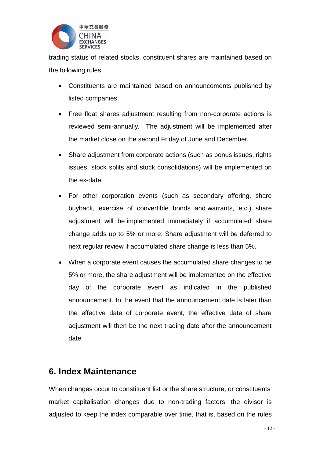

trading status of related stocks, constituent shares are maintained based on the following rules:

- Constituents are maintained based on announcements published by listed companies.
- Free float shares adjustment resulting from non-corporate actions is reviewed semi-annually. The adjustment will be implemented after the market close on the second Friday of June and December.
- Share adjustment from corporate actions (such as bonus issues, rights issues, stock splits and stock consolidations) will be implemented on the ex-date.
- For other corporation events (such as secondary offering, share buyback, exercise of convertible bonds and warrants, etc.) share adjustment will be implemented immediately if accumulated share change adds up to 5% or more; Share adjustment will be deferred to next regular review if accumulated share change is less than 5%.
- When a corporate event causes the accumulated share changes to be 5% or more, the share adjustment will be implemented on the effective day of the corporate event as indicated in the published announcement. In the event that the announcement date is later than the effective date of corporate event, the effective date of share adjustment will then be the next trading date after the announcement date.

## <span id="page-12-0"></span>**6. Index Maintenance**

When changes occur to constituent list or the share structure, or constituents' market capitalisation changes due to non-trading factors, the divisor is adjusted to keep the index comparable over time, that is, based on the rules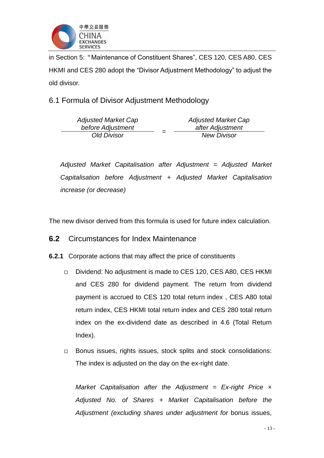

in Section 5:"Maintenance of Constituent Shares", CES 120, CES A80, CES HKMI and CES 280 adopt the "Divisor Adjustment Methodology" to adjust the old divisor.

6.1 Formula of Divisor Adjustment Methodology

| <b>Adjusted Market Cap</b> | <b>Adjusted Market Cap</b> |
|----------------------------|----------------------------|
| before Adjustment          | after Adjustment           |
| Old Divisor                | <b>New Divisor</b>         |

*Adjusted Market Capitalisation after Adjustment = Adjusted Market Capitalisation before Adjustment + Adjusted Market Capitalisation increase (or decrease)*

The new divisor derived from this formula is used for future index calculation.

#### **6.2** Circumstances for Index Maintenance

- **6.2.1** Corporate actions that may affect the price of constituents
	- □ Dividend: No adjustment is made to CES 120, CES A80, CES HKMI and CES 280 for dividend payment. The return from dividend payment is accrued to CES 120 total return index , CES A80 total return index, CES HKMI total return index and CES 280 total return index on the ex-dividend date as described in 4.6 (Total Return Index).
	- □ Bonus issues, rights issues, stock splits and stock consolidations: The index is adjusted on the day on the ex-right date.

*Market Capitalisation after the Adjustment = Ex-right Price × Adjusted No. of Shares + Market Capitalisation before the Adjustment (excluding shares under adjustment for* bonus issues,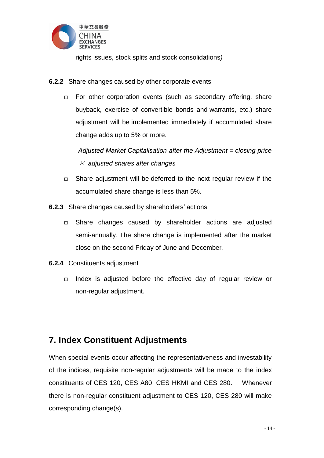

rights issues, stock splits and stock consolidations*)*

- **6.2.2** Share changes caused by other corporate events
	- $\Box$  For other corporation events (such as secondary offering, share buyback, exercise of convertible bonds and warrants, etc.) share adjustment will be implemented immediately if accumulated share change adds up to 5% or more.

*Adjusted Market Capitalisation after the Adjustment = closing price*  $\times$  adjusted shares after changes

- $\Box$  Share adjustment will be deferred to the next regular review if the accumulated share change is less than 5%.
- **6.2.3** Share changes caused by shareholders' actions
	- $\Box$  Share changes caused by shareholder actions are adjusted semi-annually. The share change is implemented after the market close on the second Friday of June and December.
- **6.2.4** Constituents adjustment
	- $\Box$  Index is adjusted before the effective day of regular review or non-regular adjustment.

## <span id="page-14-0"></span>**7. Index Constituent Adjustments**

When special events occur affecting the representativeness and investability of the indices, requisite non-regular adjustments will be made to the index constituents of CES 120, CES A80, CES HKMI and CES 280. Whenever there is non-regular constituent adjustment to CES 120, CES 280 will make corresponding change(s).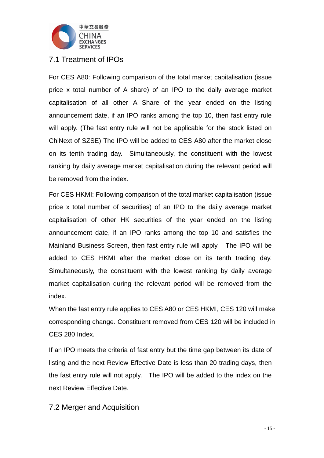

#### 7.1 Treatment of IPOs

For CES A80: Following comparison of the total market capitalisation (issue price x total number of A share) of an IPO to the daily average market capitalisation of all other A Share of the year ended on the listing announcement date, if an IPO ranks among the top 10, then fast entry rule will apply. (The fast entry rule will not be applicable for the stock listed on ChiNext of SZSE) The IPO will be added to CES A80 after the market close on its tenth trading day. Simultaneously, the constituent with the lowest ranking by daily average market capitalisation during the relevant period will be removed from the index.

For CES HKMI: Following comparison of the total market capitalisation (issue price x total number of securities) of an IPO to the daily average market capitalisation of other HK securities of the year ended on the listing announcement date, if an IPO ranks among the top 10 and satisfies the Mainland Business Screen, then fast entry rule will apply. The IPO will be added to CES HKMI after the market close on its tenth trading day. Simultaneously, the constituent with the lowest ranking by daily average market capitalisation during the relevant period will be removed from the index.

When the fast entry rule applies to CES A80 or CES HKMI, CES 120 will make corresponding change. Constituent removed from CES 120 will be included in CES 280 Index.

If an IPO meets the criteria of fast entry but the time gap between its date of listing and the next Review Effective Date is less than 20 trading days, then the fast entry rule will not apply. The IPO will be added to the index on the next Review Effective Date.

7.2 Merger and Acquisition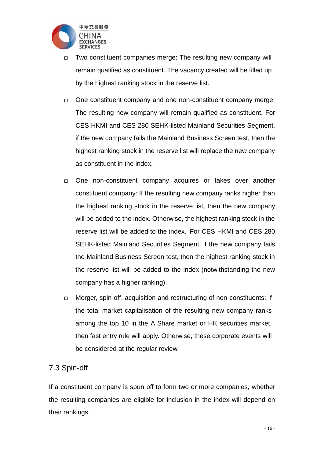

- $\Box$  Two constituent companies merge: The resulting new company will remain qualified as constituent. The vacancy created will be filled up by the highest ranking stock in the reserve list.
- $\Box$  One constituent company and one non-constituent company merge: The resulting new company will remain qualified as constituent. For CES HKMI and CES 280 SEHK-listed Mainland Securities Segment, if the new company fails the Mainland Business Screen test, then the highest ranking stock in the reserve list will replace the new company as constituent in the index.
- $\Box$  One non-constituent company acquires or takes over another constituent company: If the resulting new company ranks higher than the highest ranking stock in the reserve list, then the new company will be added to the index. Otherwise, the highest ranking stock in the reserve list will be added to the index. For CES HKMI and CES 280 SEHK-listed Mainland Securities Segment, if the new company fails the Mainland Business Screen test, then the highest ranking stock in the reserve list will be added to the index (notwithstanding the new company has a higher ranking).
- □ Merger, spin-off, acquisition and restructuring of non-constituents: If the total market capitalisation of the resulting new company ranks among the top 10 in the A Share market or HK securities market, then fast entry rule will apply. Otherwise, these corporate events will be considered at the regular review.

#### 7.3 Spin-off

If a constituent company is spun off to form two or more companies, whether the resulting companies are eligible for inclusion in the index will depend on their rankings.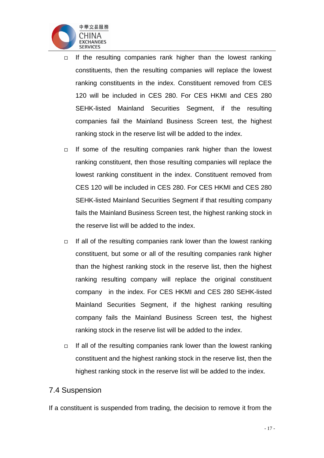

- $\Box$  If the resulting companies rank higher than the lowest ranking constituents, then the resulting companies will replace the lowest ranking constituents in the index. Constituent removed from CES 120 will be included in CES 280. For CES HKMI and CES 280 SEHK-listed Mainland Securities Segment, if the resulting companies fail the Mainland Business Screen test, the highest ranking stock in the reserve list will be added to the index.
- $\Box$  If some of the resulting companies rank higher than the lowest ranking constituent, then those resulting companies will replace the lowest ranking constituent in the index. Constituent removed from CES 120 will be included in CES 280. For CES HKMI and CES 280 SEHK-listed Mainland Securities Segment if that resulting company fails the Mainland Business Screen test, the highest ranking stock in the reserve list will be added to the index.
- $\Box$  If all of the resulting companies rank lower than the lowest ranking constituent, but some or all of the resulting companies rank higher than the highest ranking stock in the reserve list, then the highest ranking resulting company will replace the original constituent company in the index. For CES HKMI and CES 280 SEHK-listed Mainland Securities Segment, if the highest ranking resulting company fails the Mainland Business Screen test, the highest ranking stock in the reserve list will be added to the index.
- $\Box$  If all of the resulting companies rank lower than the lowest ranking constituent and the highest ranking stock in the reserve list, then the highest ranking stock in the reserve list will be added to the index.

#### 7.4 Suspension

If a constituent is suspended from trading, the decision to remove it from the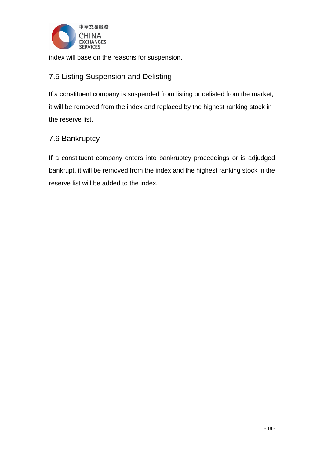

index will base on the reasons for suspension.

### 7.5 Listing Suspension and Delisting

If a constituent company is suspended from listing or delisted from the market, it will be removed from the index and replaced by the highest ranking stock in the reserve list.

#### 7.6 Bankruptcy

If a constituent company enters into bankruptcy proceedings or is adjudged bankrupt, it will be removed from the index and the highest ranking stock in the reserve list will be added to the index.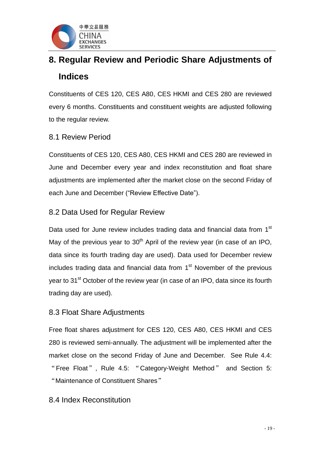

## <span id="page-19-0"></span>**8. Regular Review and Periodic Share Adjustments of Indices**

Constituents of CES 120, CES A80, CES HKMI and CES 280 are reviewed every 6 months. Constituents and constituent weights are adjusted following to the regular review.

#### 8.1 Review Period

Constituents of CES 120, CES A80, CES HKMI and CES 280 are reviewed in June and December every year and index reconstitution and float share adjustments are implemented after the market close on the second Friday of each June and December ("Review Effective Date").

#### 8.2 Data Used for Regular Review

Data used for June review includes trading data and financial data from 1<sup>st</sup> May of the previous year to  $30<sup>th</sup>$  April of the review year (in case of an IPO, data since its fourth trading day are used). Data used for December review includes trading data and financial data from 1<sup>st</sup> November of the previous year to 31<sup>st</sup> October of the review year (in case of an IPO, data since its fourth trading day are used).

#### 8.3 Float Share Adjustments

Free float shares adjustment for CES 120, CES A80, CES HKMI and CES 280 is reviewed semi-annually. The adjustment will be implemented after the market close on the second Friday of June and December. See Rule 4.4: "Free Float", Rule 4.5: "Category-Weight Method" and Section 5: "Maintenance of Constituent Shares"

#### 8.4 Index Reconstitution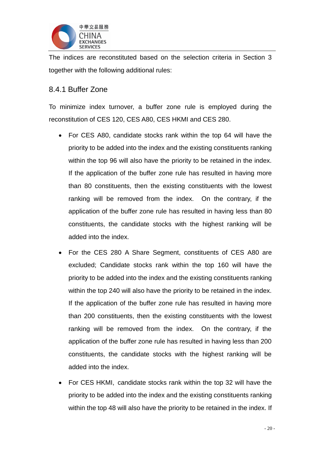

The indices are reconstituted based on the selection criteria in Section 3 together with the following additional rules:

#### 8.4.1 Buffer Zone

To minimize index turnover, a buffer zone rule is employed during the reconstitution of CES 120, CES A80, CES HKMI and CES 280.

- For CES A80, candidate stocks rank within the top 64 will have the priority to be added into the index and the existing constituents ranking within the top 96 will also have the priority to be retained in the index. If the application of the buffer zone rule has resulted in having more than 80 constituents, then the existing constituents with the lowest ranking will be removed from the index. On the contrary, if the application of the buffer zone rule has resulted in having less than 80 constituents, the candidate stocks with the highest ranking will be added into the index.
- For the CES 280 A Share Segment, constituents of CES A80 are excluded; Candidate stocks rank within the top 160 will have the priority to be added into the index and the existing constituents ranking within the top 240 will also have the priority to be retained in the index. If the application of the buffer zone rule has resulted in having more than 200 constituents, then the existing constituents with the lowest ranking will be removed from the index. On the contrary, if the application of the buffer zone rule has resulted in having less than 200 constituents, the candidate stocks with the highest ranking will be added into the index.
- For CES HKMI, candidate stocks rank within the top 32 will have the priority to be added into the index and the existing constituents ranking within the top 48 will also have the priority to be retained in the index. If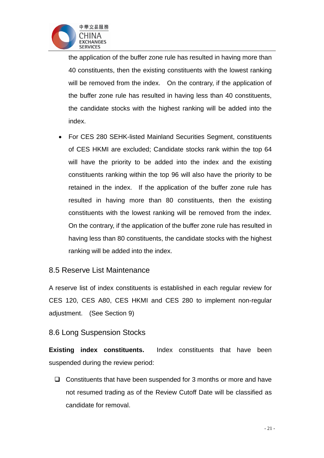

the application of the buffer zone rule has resulted in having more than 40 constituents, then the existing constituents with the lowest ranking will be removed from the index. On the contrary, if the application of the buffer zone rule has resulted in having less than 40 constituents, the candidate stocks with the highest ranking will be added into the index.

 For CES 280 SEHK-listed Mainland Securities Segment, constituents of CES HKMI are excluded; Candidate stocks rank within the top 64 will have the priority to be added into the index and the existing constituents ranking within the top 96 will also have the priority to be retained in the index. If the application of the buffer zone rule has resulted in having more than 80 constituents, then the existing constituents with the lowest ranking will be removed from the index. On the contrary, if the application of the buffer zone rule has resulted in having less than 80 constituents, the candidate stocks with the highest ranking will be added into the index.

#### 8.5 Reserve List Maintenance

A reserve list of index constituents is established in each regular review for CES 120, CES A80, CES HKMI and CES 280 to implement non-regular adjustment. (See Section 9)

#### 8.6 Long Suspension Stocks

**Existing index constituents.** Index constituents that have been suspended during the review period:

 $\Box$  Constituents that have been suspended for 3 months or more and have not resumed trading as of the Review Cutoff Date will be classified as candidate for removal.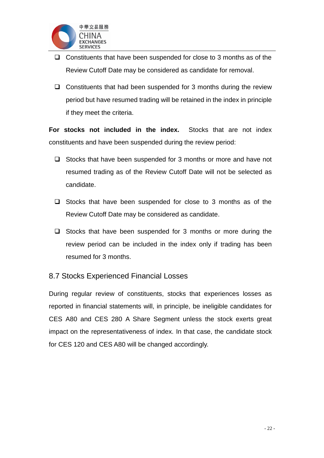

- $\Box$  Constituents that have been suspended for close to 3 months as of the Review Cutoff Date may be considered as candidate for removal.
- $\Box$  Constituents that had been suspended for 3 months during the review period but have resumed trading will be retained in the index in principle if they meet the criteria.

**For stocks not included in the index.** Stocks that are not index constituents and have been suspended during the review period:

- $\Box$  Stocks that have been suspended for 3 months or more and have not resumed trading as of the Review Cutoff Date will not be selected as candidate.
- $\Box$  Stocks that have been suspended for close to 3 months as of the Review Cutoff Date may be considered as candidate.
- $\Box$  Stocks that have been suspended for 3 months or more during the review period can be included in the index only if trading has been resumed for 3 months.

#### 8.7 Stocks Experienced Financial Losses

During regular review of constituents, stocks that experiences losses as reported in financial statements will, in principle, be ineligible candidates for CES A80 and CES 280 A Share Segment unless the stock exerts great impact on the representativeness of index. In that case, the candidate stock for CES 120 and CES A80 will be changed accordingly.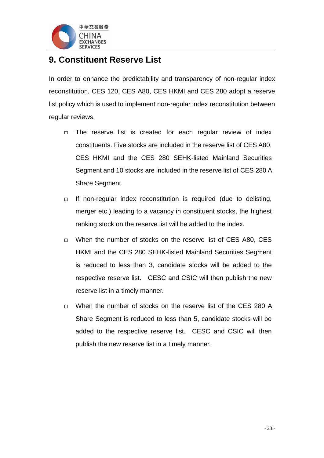

## <span id="page-23-0"></span>**9. Constituent Reserve List**

In order to enhance the predictability and transparency of non-regular index reconstitution, CES 120, CES A80, CES HKMI and CES 280 adopt a reserve list policy which is used to implement non-regular index reconstitution between regular reviews.

- $\Box$  The reserve list is created for each regular review of index constituents. Five stocks are included in the reserve list of CES A80, CES HKMI and the CES 280 SEHK-listed Mainland Securities Segment and 10 stocks are included in the reserve list of CES 280 A Share Segment.
- $\Box$  If non-regular index reconstitution is required (due to delisting, merger etc.) leading to a vacancy in constituent stocks, the highest ranking stock on the reserve list will be added to the index.
- □ When the number of stocks on the reserve list of CES A80, CES HKMI and the CES 280 SEHK-listed Mainland Securities Segment is reduced to less than 3, candidate stocks will be added to the respective reserve list. CESC and CSIC will then publish the new reserve list in a timely manner.
- $\Box$  When the number of stocks on the reserve list of the CES 280 A Share Segment is reduced to less than 5, candidate stocks will be added to the respective reserve list. CESC and CSIC will then publish the new reserve list in a timely manner.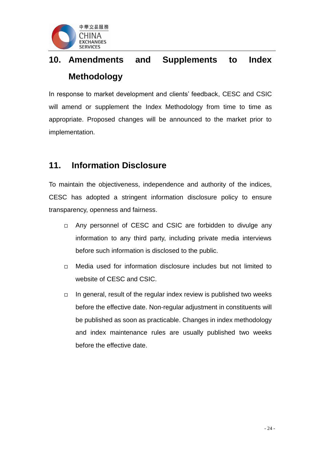

## <span id="page-24-0"></span>**10. Amendments and Supplements to Index Methodology**

In response to market development and clients' feedback, CESC and CSIC will amend or supplement the Index Methodology from time to time as appropriate. Proposed changes will be announced to the market prior to implementation.

## <span id="page-24-1"></span>**11. Information Disclosure**

To maintain the objectiveness, independence and authority of the indices, CESC has adopted a stringent information disclosure policy to ensure transparency, openness and fairness.

- □ Any personnel of CESC and CSIC are forbidden to divulge any information to any third party, including private media interviews before such information is disclosed to the public.
- $\neg$  Media used for information disclosure includes but not limited to website of CESC and CSIC.
- $\Box$  In general, result of the regular index review is published two weeks before the effective date. Non-regular adjustment in constituents will be published as soon as practicable. Changes in index methodology and index maintenance rules are usually published two weeks before the effective date.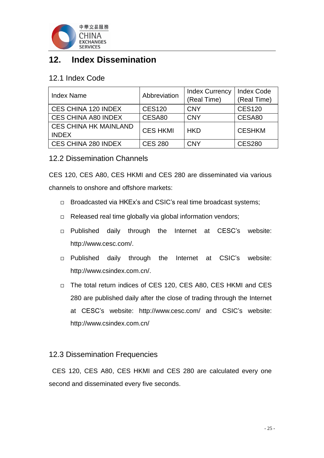

## <span id="page-25-0"></span>**12. Index Dissemination**

#### 12.1 Index Code

| <b>Index Name</b>            | Abbreviation    | <b>Index Currency</b>       | <b>Index Code</b> |  |  |
|------------------------------|-----------------|-----------------------------|-------------------|--|--|
|                              |                 | (Real Time)                 | (Real Time)       |  |  |
| CES CHINA 120 INDEX          | <b>CES120</b>   | <b>CNY</b>                  | <b>CES120</b>     |  |  |
| <b>CES CHINA A80 INDEX</b>   | CESA80          | <b>CNY</b>                  | CESA80            |  |  |
| <b>CES CHINA HK MAINLAND</b> | <b>CES HKMI</b> | <b>CESHKM</b><br><b>HKD</b> |                   |  |  |
| <b>INDEX</b>                 |                 |                             |                   |  |  |
| CES CHINA 280 INDEX          | <b>CES 280</b>  | <b>CNY</b>                  | <b>CES280</b>     |  |  |

#### 12.2 Dissemination Channels

CES 120, CES A80, CES HKMI and CES 280 are disseminated via various channels to onshore and offshore markets:

- □ Broadcasted via HKEx's and CSIC's real time broadcast systems;
- $\Box$  Released real time globally via global information vendors;
- Published daily through the Internet at CESC's website: [http://www.cesc.com/.](http://www.cesc.com/)
- Published daily through the Internet at CSIC's website: [http://www.csindex.com.cn/.](http://www.csindex.com.cn/)
- □ The total return indices of CES 120, CES A80, CES HKMI and CES 280 are published daily after the close of trading through the Internet at CESC's website: <http://www.cesc.com/> and CSIC's website: <http://www.csindex.com.cn/>

#### 12.3 Dissemination Frequencies

CES 120, CES A80, CES HKMI and CES 280 are calculated every one second and disseminated every five seconds.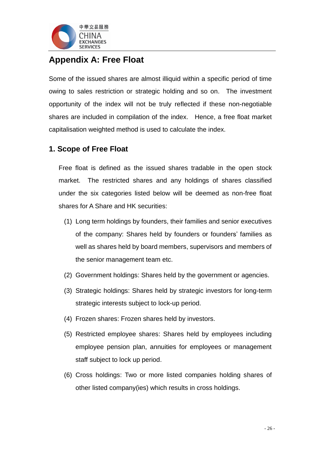

## <span id="page-26-0"></span>**Appendix A: Free Float**

Some of the issued shares are almost illiquid within a specific period of time owing to sales restriction or strategic holding and so on. The investment opportunity of the index will not be truly reflected if these non-negotiable shares are included in compilation of the index. Hence, a free float market capitalisation weighted method is used to calculate the index.

#### **1. Scope of Free Float**

Free float is defined as the issued shares tradable in the open stock market. The restricted shares and any holdings of shares classified under the six categories listed below will be deemed as non-free float shares for A Share and HK securities:

- (1) Long term holdings by founders, their families and senior executives of the company: Shares held by founders or founders' families as well as shares held by board members, supervisors and members of the senior management team etc.
- (2) Government holdings: Shares held by the government or agencies.
- (3) Strategic holdings: Shares held by strategic investors for long-term strategic interests subject to lock-up period.
- (4) Frozen shares: Frozen shares held by investors.
- (5) Restricted employee shares: Shares held by employees including employee pension plan, annuities for employees or management staff subject to lock up period.
- (6) Cross holdings: Two or more listed companies holding shares of other listed company(ies) which results in cross holdings.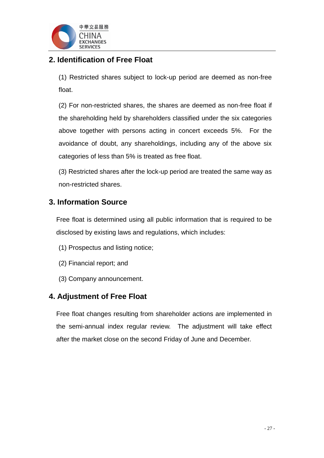

## **2. Identification of Free Float**

(1) Restricted shares subject to lock-up period are deemed as non-free float.

(2) For non-restricted shares, the shares are deemed as non-free float if the shareholding held by shareholders classified under the six categories above together with persons acting in concert exceeds 5%. For the avoidance of doubt, any shareholdings, including any of the above six categories of less than 5% is treated as free float.

(3) Restricted shares after the lock-up period are treated the same way as non-restricted shares.

#### **3. Information Source**

Free float is determined using all public information that is required to be disclosed by existing laws and regulations, which includes:

- (1) Prospectus and listing notice;
- (2) Financial report; and
- (3) Company announcement.

#### **4. Adjustment of Free Float**

Free float changes resulting from shareholder actions are implemented in the semi-annual index regular review. The adjustment will take effect after the market close on the second Friday of June and December.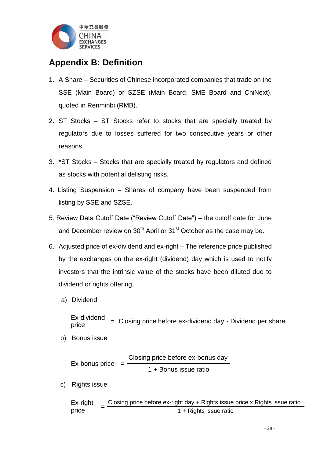

## <span id="page-28-0"></span>**Appendix B: Definition**

- 1. A Share Securities of Chinese incorporated companies that trade on the SSE (Main Board) or SZSE (Main Board, SME Board and ChiNext), quoted in Renminbi (RMB).
- 2. ST Stocks ST Stocks refer to stocks that are specially treated by regulators due to losses suffered for two consecutive years or other reasons.
- 3. \*ST Stocks Stocks that are specially treated by regulators and defined as stocks with potential delisting risks.
- 4. Listing Suspension Shares of company have been suspended from listing by SSE and SZSE.
- 5. Review Data Cutoff Date ("Review Cutoff Date") the cutoff date for June and December review on  $30<sup>th</sup>$  April or  $31<sup>st</sup>$  October as the case may be.
- 6. Adjusted price of ex-dividend and ex-right The reference price published by the exchanges on the ex-right (dividend) day which is used to notify investors that the intrinsic value of the stocks have been diluted due to dividend or rights offering.
	- a) Dividend

Ex-dividend  $P_{\text{price}}$  = Closing price before ex-dividend day - Dividend per share

b) Bonus issue

Ex-bonus price Closing price before ex-bonus day 1 + Bonus issue ratio

c) Rights issue

Ex-right price Closing price before ex-right day + Rights issue price x Rights issue ratio 1 + Rights issue ratio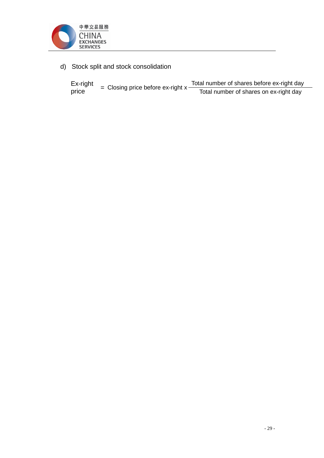

d) Stock split and stock consolidation

| Ex-right | = Closing price before ex-right $x -$ | Total number of shares before ex-right day |
|----------|---------------------------------------|--------------------------------------------|
| price    |                                       | Total number of shares on ex-right day     |